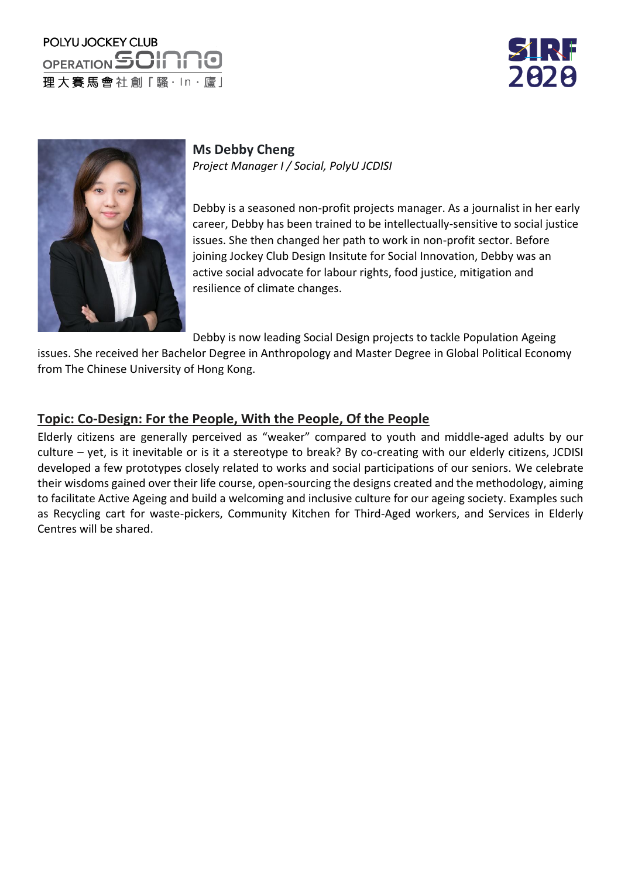## POLYU JOCKEY CLUB OPERATION SOIN 理大賽馬會社創「騷·ln·廬」





**Ms Debby Cheng** *Project Manager I / Social, PolyU JCDISI*

Debby is a seasoned non-profit projects manager. As a journalist in her early career, Debby has been trained to be intellectually-sensitive to social justice issues. She then changed her path to work in non-profit sector. Before joining Jockey Club Design Insitute for Social Innovation, Debby was an active social advocate for labour rights, food justice, mitigation and resilience of climate changes.

Debby is now leading Social Design projects to tackle Population Ageing

issues. She received her Bachelor Degree in Anthropology and Master Degree in Global Political Economy from The Chinese University of Hong Kong.

## **Topic: Co-Design: For the People, With the People, Of the People**

Elderly citizens are generally perceived as "weaker" compared to youth and middle-aged adults by our culture – yet, is it inevitable or is it a stereotype to break? By co-creating with our elderly citizens, JCDISI developed a few prototypes closely related to works and social participations of our seniors. We celebrate their wisdoms gained over their life course, open-sourcing the designs created and the methodology, aiming to facilitate Active Ageing and build a welcoming and inclusive culture for our ageing society. Examples such as Recycling cart for waste-pickers, Community Kitchen for Third-Aged workers, and Services in Elderly Centres will be shared.